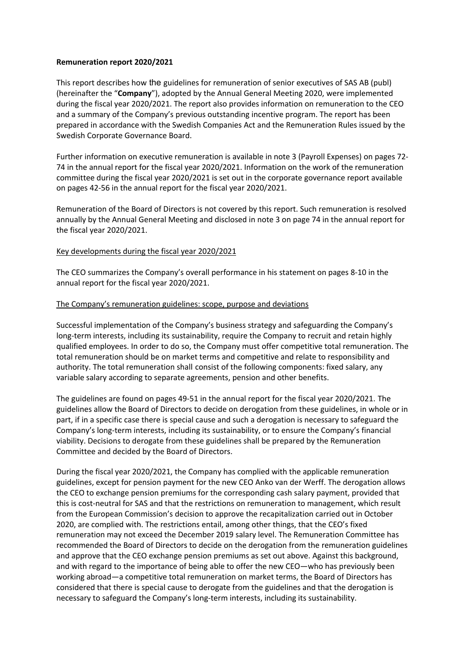### **Remuneration report 2020/2021**

This report describes how the guidelines for remuneration of senior executives of SAS AB (publ) (hereinafter the "**Company**"), adopted by the Annual General Meeting 2020, were implemented during the fiscal year 2020/2021. The report also provides information on remuneration to the CEO and a summary of the Company's previous outstanding incentive program. The report has been prepared in accordance with the Swedish Companies Act and the Remuneration Rules issued by the Swedish Corporate Governance Board.

Further information on executive remuneration is available in note 3 (Payroll Expenses) on pages 72- 74 in the annual report for the fiscal year 2020/2021. Information on the work of the remuneration committee during the fiscal year 2020/2021 is set out in the corporate governance report available on pages 42-56 in the annual report for the fiscal year 2020/2021.

Remuneration of the Board of Directors is not covered by this report. Such remuneration is resolved annually by the Annual General Meeting and disclosed in note 3 on page 74 in the annual report for the fiscal year 2020/2021.

# Key developments during the fiscal year 2020/2021

The CEO summarizes the Company's overall performance in his statement on pages 8-10 in the annual report for the fiscal year 2020/2021.

### The Company's remuneration guidelines: scope, purpose and deviations

Successful implementation of the Company's business strategy and safeguarding the Company's long-term interests, including its sustainability, require the Company to recruit and retain highly qualified employees. In order to do so, the Company must offer competitive total remuneration. The total remuneration should be on market terms and competitive and relate to responsibility and authority. The total remuneration shall consist of the following components: fixed salary, any variable salary according to separate agreements, pension and other benefits.

The guidelines are found on pages 49-51 in the annual report for the fiscal year 2020/2021. The guidelines allow the Board of Directors to decide on derogation from these guidelines, in whole or in part, if in a specific case there is special cause and such a derogation is necessary to safeguard the Company's long-term interests, including its sustainability, or to ensure the Company's financial viability. Decisions to derogate from these guidelines shall be prepared by the Remuneration Committee and decided by the Board of Directors.

During the fiscal year 2020/2021, the Company has complied with the applicable remuneration guidelines, except for pension payment for the new CEO Anko van der Werff. The derogation allows the CEO to exchange pension premiums for the corresponding cash salary payment, provided that this is cost-neutral for SAS and that the restrictions on remuneration to management, which result from the European Commission's decision to approve the recapitalization carried out in October 2020, are complied with. The restrictions entail, among other things, that the CEO's fixed remuneration may not exceed the December 2019 salary level. The Remuneration Committee has recommended the Board of Directors to decide on the derogation from the remuneration guidelines and approve that the CEO exchange pension premiums as set out above. Against this background, and with regard to the importance of being able to offer the new CEO—who has previously been working abroad—a competitive total remuneration on market terms, the Board of Directors has considered that there is special cause to derogate from the guidelines and that the derogation is necessary to safeguard the Company's long-term interests, including its sustainability.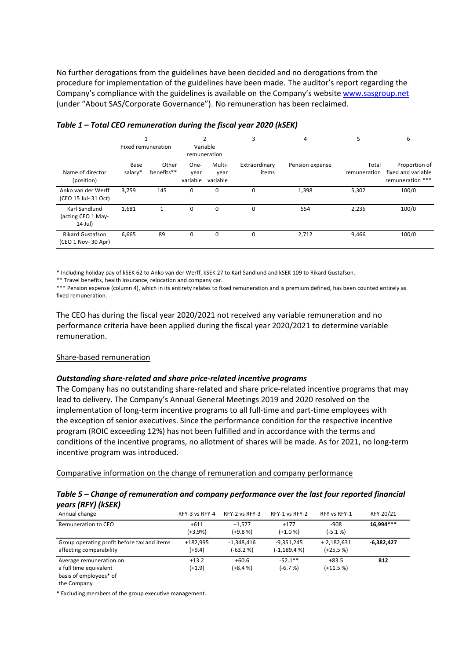No further derogations from the guidelines have been decided and no derogations from the procedure for implementation of the guidelines have been made. The auditor's report regarding the Company's compliance with the guidelines is available on the Company's website www.sasgroup.net (under "About SAS/Corporate Governance"). No remuneration has been reclaimed.

|                                                | Fixed remuneration |                     | $\overline{2}$<br>Variable<br>remuneration |                            | 3                      | 4               | 5                     | 6                                                       |
|------------------------------------------------|--------------------|---------------------|--------------------------------------------|----------------------------|------------------------|-----------------|-----------------------|---------------------------------------------------------|
| Name of director<br>(position)                 | Base<br>salary*    | Other<br>benefits** | One-<br>year<br>variable                   | Multi-<br>year<br>variable | Extraordinary<br>items | Pension expense | Total<br>remuneration | Proportion of<br>fixed and variable<br>remuneration *** |
| Anko van der Werff<br>(CEO 15 Jul- 31 Oct)     | 3,759              | 145                 | 0                                          | 0                          | 0                      | 1,398           | 5,302                 | 100/0                                                   |
| Karl Sandlund<br>(acting CEO 1 May-<br>14 Jul) | 1,681              | 1                   | $\Omega$                                   | 0                          | 0                      | 554             | 2,236                 | 100/0                                                   |
| <b>Rikard Gustafson</b><br>(CEO 1 Nov- 30 Apr) | 6,665              | 89                  | 0                                          | 0                          | 0                      | 2,712           | 9,466                 | 100/0                                                   |

### *Table 1 – Total CEO remuneration during the fiscal year 2020 (kSEK)*

\* Including holiday pay of kSEK 62 to Anko van der Werff, kSEK 27 to Karl Sandlund and kSEK 109 to Rikard Gustafson.

\*\* Travel benefits, health insurance, relocation and company car.

\*\*\* Pension expense (column 4), which in its entirety relates to fixed remuneration and is premium defined, has been counted entirely as fixed remuneration.

The CEO has during the fiscal year 2020/2021 not received any variable remuneration and no performance criteria have been applied during the fiscal year 2020/2021 to determine variable remuneration.

#### Share-based remuneration

# *Outstanding share-related and share price-related incentive programs*

The Company has no outstanding share-related and share price-related incentive programs that may lead to delivery. The Company's Annual General Meetings 2019 and 2020 resolved on the implementation of long-term incentive programs to all full-time and part-time employees with the exception of senior executives. Since the performance condition for the respective incentive program (ROIC exceeding 12%) has not been fulfilled and in accordance with the terms and conditions of the incentive programs, no allotment of shares will be made. As for 2021, no long-term incentive program was introduced.

Comparative information on the change of remuneration and company performance

# *Table 5 – Change of remuneration and company performance over the last four reported financial years (RFY) (kSEK)*

| Annual change                                                               | RFY-3 vs RFY-4       | RFY-2 vs RFY-3            | RFY-1 vs RFY-2                  | RFY vs RFY-1               | RFY 20/21    |
|-----------------------------------------------------------------------------|----------------------|---------------------------|---------------------------------|----------------------------|--------------|
| Remuneration to CEO                                                         | $+611$<br>$(+3.9%)$  | $+1.577$<br>$(+9.8%$      | $+177$<br>$(+1.0%$              | $-908$<br>$(-5.1%$         | 16.994 ***   |
| Group operating profit before tax and items<br>affecting comparability      | +182,995<br>$(+9.4)$ | $-1.348.416$<br>$(-63.2%$ | $-9.351.245$<br>$(-1, 189.4 %)$ | $+2,182,631$<br>$(+25.5%)$ | $-6,382,427$ |
| Average remuneration on<br>a full time equivalent<br>basis of employees* of | $+13.2$<br>$(+1.9)$  | $+60.6$<br>$(+8.4%$       | $-52.1**$<br>$(-6.7%)$          | $+83.5$<br>$(+11.5%)$      | 812          |

the Company

\* Excluding members of the group executive management.